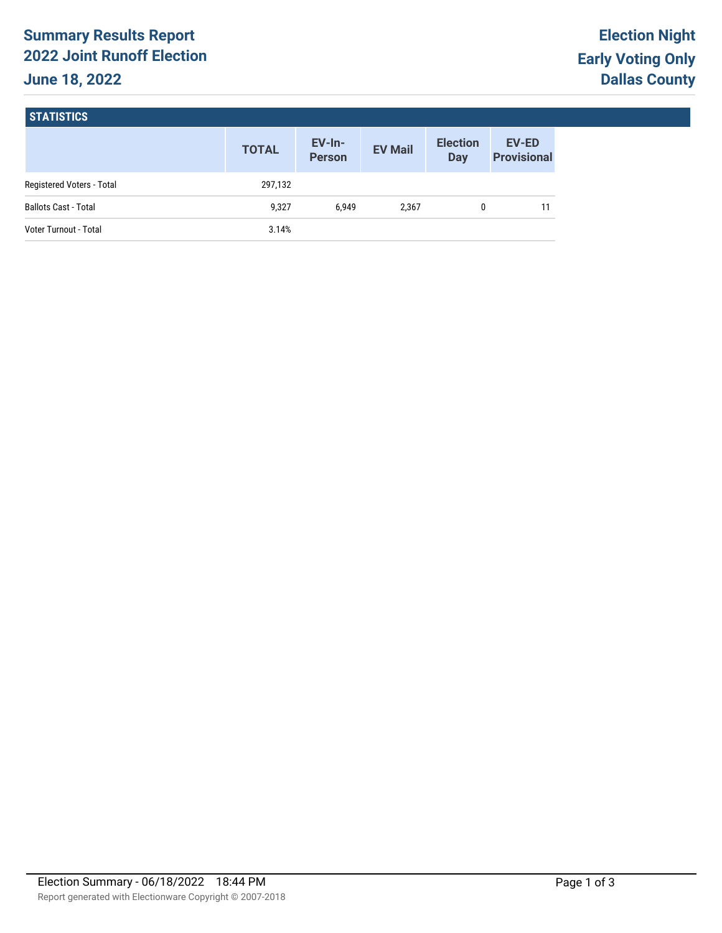# **Summary Results Report 2022 Joint Runoff Election June 18, 2022**

# **STATISTICS**

|                             | <b>TOTAL</b> | $EV-In-$<br><b>Person</b> | <b>EV Mail</b> | <b>Election</b><br><b>Day</b> | <b>EV-ED</b><br><b>Provisional</b> |
|-----------------------------|--------------|---------------------------|----------------|-------------------------------|------------------------------------|
| Registered Voters - Total   | 297,132      |                           |                |                               |                                    |
| <b>Ballots Cast - Total</b> | 9,327        | 6.949                     | 2,367          | 0                             |                                    |
| Voter Turnout - Total       | 3.14%        |                           |                |                               |                                    |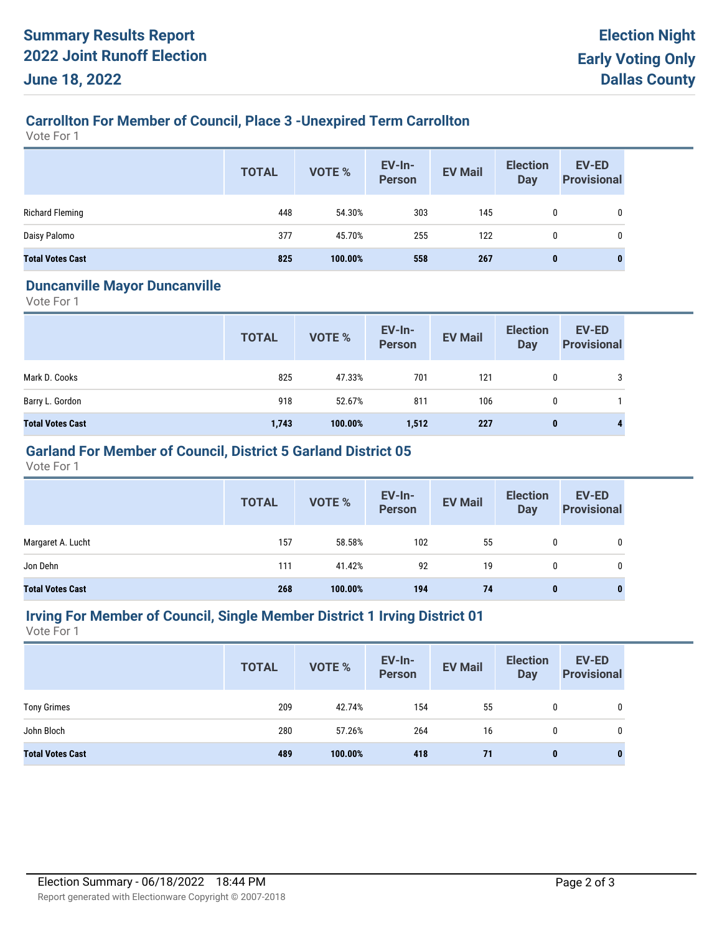## **Carrollton For Member of Council, Place 3 -Unexpired Term Carrollton**

Vote For 1

|                         | <b>TOTAL</b> | VOTE %  | <b>EV-In-</b><br><b>Person</b> | <b>EV Mail</b> | <b>Election</b><br><b>Day</b> | <b>EV-ED</b><br><b>Provisional</b> |
|-------------------------|--------------|---------|--------------------------------|----------------|-------------------------------|------------------------------------|
| <b>Richard Fleming</b>  | 448          | 54.30%  | 303                            | 145            | 0                             |                                    |
| Daisy Palomo            | 377          | 45.70%  | 255                            | 122            | 0                             |                                    |
| <b>Total Votes Cast</b> | 825          | 100.00% | 558                            | 267            | 0                             |                                    |

#### **Duncanville Mayor Duncanville**

Vote For 1

|                         | <b>TOTAL</b> | <b>VOTE %</b> | <b>EV-In-</b><br><b>Person</b> | <b>EV Mail</b> | <b>Election</b><br><b>Day</b> | <b>EV-ED</b><br><b>Provisional</b> |
|-------------------------|--------------|---------------|--------------------------------|----------------|-------------------------------|------------------------------------|
| Mark D. Cooks           | 825          | 47.33%        | 701                            | 121            | 0                             | 3                                  |
| Barry L. Gordon         | 918          | 52.67%        | 811                            | 106            | $\mathbf{0}$                  |                                    |
| <b>Total Votes Cast</b> | 1,743        | 100.00%       | 1,512                          | 227            | 0                             | 4                                  |

## **Garland For Member of Council, District 5 Garland District 05**

Vote For 1

|                         | <b>TOTAL</b> | VOTE %  | EV-In-<br>Person | <b>EV Mail</b> | <b>Election</b><br>Day | <b>EV-ED</b><br><b>Provisional</b> |
|-------------------------|--------------|---------|------------------|----------------|------------------------|------------------------------------|
| Margaret A. Lucht       | 157          | 58.58%  | 102              | 55             | 0                      | 0                                  |
| Jon Dehn                | 111          | 41.42%  | 92               | 19             | 0                      | 0                                  |
| <b>Total Votes Cast</b> | 268          | 100.00% | 194              | 74             | $\bf{0}$               | 0                                  |

#### **Irving For Member of Council, Single Member District 1 Irving District 01**

Vote For 1

|                         | <b>TOTAL</b> | VOTE %  | <b>EV-In-</b><br><b>Person</b> | <b>EV Mail</b> | <b>Election</b><br>Day | <b>EV-ED</b><br><b>Provisional</b> |
|-------------------------|--------------|---------|--------------------------------|----------------|------------------------|------------------------------------|
| <b>Tony Grimes</b>      | 209          | 42.74%  | 154                            | 55             | 0                      | 0                                  |
| John Bloch              | 280          | 57.26%  | 264                            | 16             | 0                      | 0                                  |
| <b>Total Votes Cast</b> | 489          | 100.00% | 418                            | 71             | 0                      | $\bf{0}$                           |